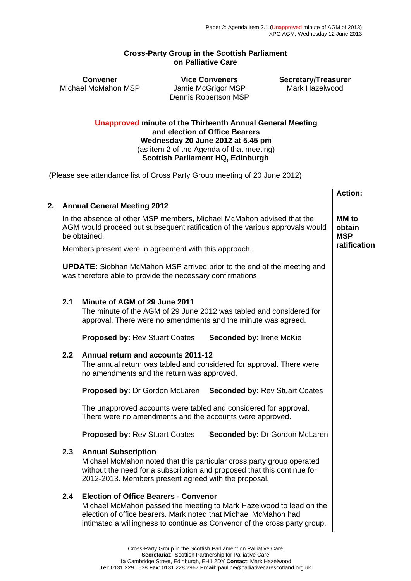## **Cross-Party Group in the Scottish Parliament on Palliative Care**

Michael McMahon MSP Jamie McGrigor MSP

**Convener Vice Conveners Secretary/Treasurer**  Dennis Robertson MSP

## **Unapproved minute of the Thirteenth Annual General Meeting and election of Office Bearers Wednesday 20 June 2012 at 5.45 pm** (as item 2 of the Agenda of that meeting) **Scottish Parliament HQ, Edinburgh**

(Please see attendance list of Cross Party Group meeting of 20 June 2012)

|                                                                                                                                                                       |                                                                                                                                                                                                                                                                     | <b>Action:</b>                       |
|-----------------------------------------------------------------------------------------------------------------------------------------------------------------------|---------------------------------------------------------------------------------------------------------------------------------------------------------------------------------------------------------------------------------------------------------------------|--------------------------------------|
| 2. Annual General Meeting 2012                                                                                                                                        |                                                                                                                                                                                                                                                                     |                                      |
| In the absence of other MSP members, Michael McMahon advised that the<br>AGM would proceed but subsequent ratification of the various approvals would<br>be obtained. |                                                                                                                                                                                                                                                                     | <b>MM</b> to<br>obtain<br><b>MSP</b> |
| Members present were in agreement with this approach.                                                                                                                 |                                                                                                                                                                                                                                                                     | ratification                         |
| <b>UPDATE:</b> Siobhan McMahon MSP arrived prior to the end of the meeting and<br>was therefore able to provide the necessary confirmations.                          |                                                                                                                                                                                                                                                                     |                                      |
| 2.1                                                                                                                                                                   | Minute of AGM of 29 June 2011<br>The minute of the AGM of 29 June 2012 was tabled and considered for<br>approval. There were no amendments and the minute was agreed.                                                                                               |                                      |
|                                                                                                                                                                       | <b>Proposed by: Rev Stuart Coates</b><br>Seconded by: Irene McKie                                                                                                                                                                                                   |                                      |
| 2.2                                                                                                                                                                   | Annual return and accounts 2011-12<br>The annual return was tabled and considered for approval. There were<br>no amendments and the return was approved.                                                                                                            |                                      |
|                                                                                                                                                                       | Proposed by: Dr Gordon McLaren Seconded by: Rev Stuart Coates                                                                                                                                                                                                       |                                      |
|                                                                                                                                                                       | The unapproved accounts were tabled and considered for approval.<br>There were no amendments and the accounts were approved.                                                                                                                                        |                                      |
|                                                                                                                                                                       | <b>Proposed by: Rev Stuart Coates</b><br>Seconded by: Dr Gordon McLaren                                                                                                                                                                                             |                                      |
| 2.3                                                                                                                                                                   | <b>Annual Subscription</b><br>Michael McMahon noted that this particular cross party group operated<br>without the need for a subscription and proposed that this continue for<br>2012-2013. Members present agreed with the proposal.                              |                                      |
| 2.4                                                                                                                                                                   | <b>Election of Office Bearers - Convenor</b><br>Michael McMahon passed the meeting to Mark Hazelwood to lead on the<br>election of office bearers. Mark noted that Michael McMahon had<br>intimated a willingness to continue as Convenor of the cross party group. |                                      |